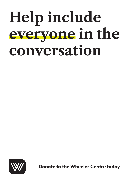# **Help include**  everyone in the **conversation**



**Donate to the Wheeler Centre today**